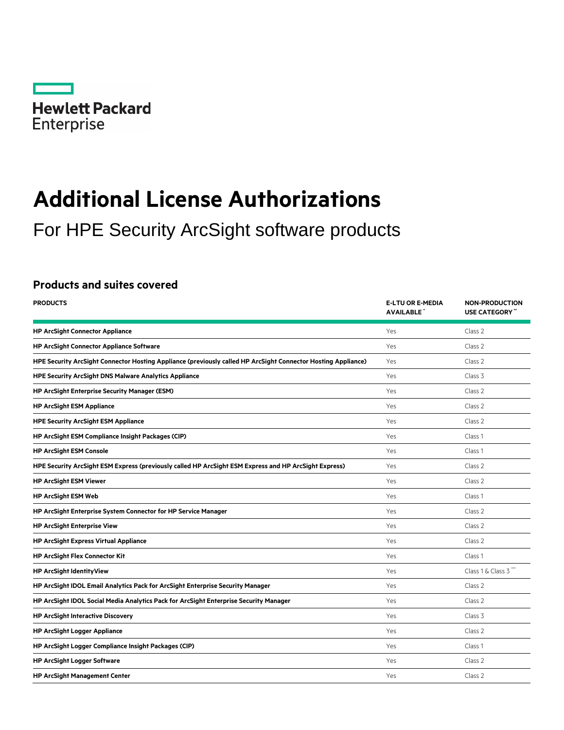

# **Additional License Authorizations**

For HPE Security ArcSight software products

# **Products and suites covered**

| <b>PRODUCTS</b>                                                                                               | <b>E-LTU OR E-MEDIA</b><br><b>AVAILABLE</b> | <b>NON-PRODUCTION</b><br><b>USE CATEGORY</b> " |
|---------------------------------------------------------------------------------------------------------------|---------------------------------------------|------------------------------------------------|
| <b>HP ArcSight Connector Appliance</b>                                                                        | Yes                                         | Class 2                                        |
| <b>HP ArcSight Connector Appliance Software</b>                                                               | Yes                                         | Class 2                                        |
| HPE Security ArcSight Connector Hosting Appliance (previously called HP ArcSight Connector Hosting Appliance) | Yes                                         | Class 2                                        |
| <b>HPE Security ArcSight DNS Malware Analytics Appliance</b>                                                  | Yes                                         | Class 3                                        |
| <b>HP ArcSight Enterprise Security Manager (ESM)</b>                                                          | Yes                                         | Class 2                                        |
| <b>HP ArcSight ESM Appliance</b>                                                                              | Yes                                         | Class 2                                        |
| <b>HPE Security ArcSight ESM Appliance</b>                                                                    | Yes                                         | Class 2                                        |
| HP ArcSight ESM Compliance Insight Packages (CIP)                                                             | Yes                                         | Class 1                                        |
| <b>HP ArcSight ESM Console</b>                                                                                | Yes                                         | Class 1                                        |
| HPE Security ArcSight ESM Express (previously called HP ArcSight ESM Express and HP ArcSight Express)         | Yes                                         | Class 2                                        |
| <b>HP ArcSight ESM Viewer</b>                                                                                 | Yes                                         | Class 2                                        |
| <b>HP ArcSight ESM Web</b>                                                                                    | Yes                                         | Class 1                                        |
| HP ArcSight Enterprise System Connector for HP Service Manager                                                | Yes                                         | Class 2                                        |
| <b>HP ArcSight Enterprise View</b>                                                                            | Yes                                         | Class 2                                        |
| <b>HP ArcSight Express Virtual Appliance</b>                                                                  | Yes                                         | Class 2                                        |
| <b>HP ArcSight Flex Connector Kit</b>                                                                         | Yes                                         | Class 1                                        |
| <b>HP ArcSight IdentityView</b>                                                                               | Yes                                         | Class 1 & Class 3"                             |
| HP ArcSight IDOL Email Analytics Pack for ArcSight Enterprise Security Manager                                | Yes                                         | Class 2                                        |
| HP ArcSight IDOL Social Media Analytics Pack for ArcSight Enterprise Security Manager                         | Yes                                         | Class 2                                        |
| <b>HP ArcSight Interactive Discovery</b>                                                                      | Yes                                         | Class 3                                        |
| <b>HP ArcSight Logger Appliance</b>                                                                           | Yes                                         | Class 2                                        |
| HP ArcSight Logger Compliance Insight Packages (CIP)                                                          | Yes                                         | Class <sub>1</sub>                             |
| <b>HP ArcSight Logger Software</b>                                                                            | Yes                                         | Class 2                                        |
| <b>HP ArcSight Management Center</b>                                                                          | Yes                                         | Class 2                                        |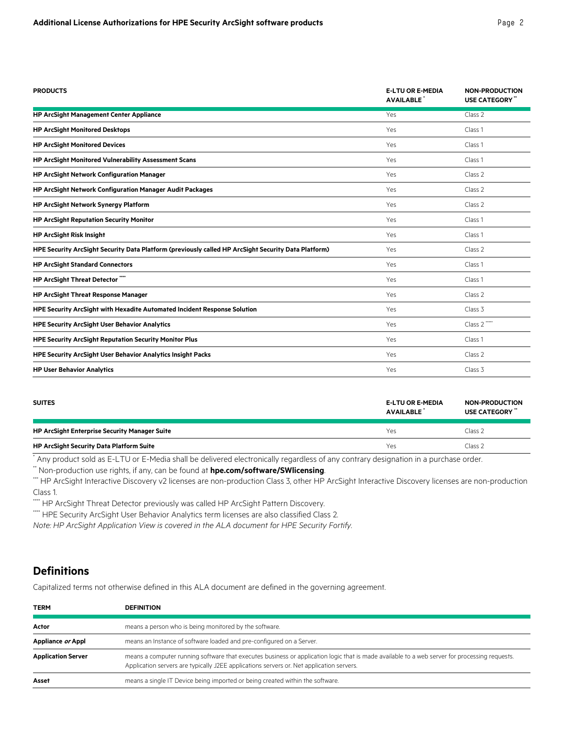| <b>PRODUCTS</b>                                                                                     | <b>E-LTU OR E-MEDIA</b><br><b>AVAILABLE</b> | <b>NON-PRODUCTION</b><br><b>USE CATEGORY</b> " |
|-----------------------------------------------------------------------------------------------------|---------------------------------------------|------------------------------------------------|
| <b>HP ArcSight Management Center Appliance</b>                                                      | Yes                                         | Class 2                                        |
| <b>HP ArcSight Monitored Desktops</b>                                                               | Yes                                         | Class 1                                        |
| <b>HP ArcSight Monitored Devices</b>                                                                | Yes                                         | Class 1                                        |
| HP ArcSight Monitored Vulnerability Assessment Scans                                                | Yes                                         | Class 1                                        |
| <b>HP ArcSight Network Configuration Manager</b>                                                    | Yes                                         | Class 2                                        |
| HP ArcSight Network Configuration Manager Audit Packages                                            | Yes                                         | Class 2                                        |
| <b>HP ArcSight Network Synergy Platform</b>                                                         | Yes                                         | Class 2                                        |
| <b>HP ArcSight Reputation Security Monitor</b>                                                      | Yes                                         | Class 1                                        |
| <b>HP ArcSight Risk Insight</b>                                                                     | Yes                                         | Class <sub>1</sub>                             |
| HPE Security ArcSight Security Data Platform (previously called HP ArcSight Security Data Platform) | Yes                                         | Class 2                                        |
| <b>HP ArcSight Standard Connectors</b>                                                              | Yes                                         | Class 1                                        |
| HP ArcSight Threat Detector""                                                                       | Yes                                         | Class 1                                        |
| <b>HP ArcSight Threat Response Manager</b>                                                          | Yes                                         | Class 2                                        |
| HPE Security ArcSight with Hexadite Automated Incident Response Solution                            | Yes                                         | Class 3                                        |
| <b>HPE Security ArcSight User Behavior Analytics</b>                                                | Yes                                         | Class 2 ""                                     |
| <b>HPE Security ArcSight Reputation Security Monitor Plus</b>                                       | Yes                                         | Class 1                                        |
| HPE Security ArcSight User Behavior Analytics Insight Packs                                         | Yes                                         | Class 2                                        |
| <b>HP User Behavior Analytics</b>                                                                   | Yes                                         | Class 3                                        |

| <b>SUITES</b>                                        | <b>E-LTU OR E-MEDIA</b><br>AVAILABLE | <b>NON-PRODUCTION</b><br>USE CATEGORY " |
|------------------------------------------------------|--------------------------------------|-----------------------------------------|
| <b>HP ArcSight Enterprise Security Manager Suite</b> | Yes                                  | Class 2                                 |
| <b>HP ArcSight Security Data Platform Suite</b>      | Yes                                  | Class <sub>2</sub>                      |

\* Any product sold as E-LTU or E-Media shall be delivered electronically regardless of any contrary designation in a purchase order.

\*\* Non-production use rights, if any, can be found at **[hpe.com/software/SWlicensing](http://hpe.com/software/SWlicensing)**.

\*\*\* HP ArcSight Interactive Discovery v2 licenses are non-production Class 3, other HP ArcSight Interactive Discovery licenses are non-production Class 1.

\*\*\*\* HP ArcSight Threat Detector previously was called HP ArcSight Pattern Discovery.

\*\*\*\* HPE Security ArcSight User Behavior Analytics term licenses are also classified Class 2.

*Note: HP ArcSight Application View is covered in the ALA document for HPE Security Fortify.*

# **Definitions**

Capitalized terms not otherwise defined in this ALA document are defined in the governing agreement.

| <b>TERM</b>               | <b>DEFINITION</b>                                                                                                                                                                                                                         |
|---------------------------|-------------------------------------------------------------------------------------------------------------------------------------------------------------------------------------------------------------------------------------------|
| Actor                     | means a person who is being monitored by the software.                                                                                                                                                                                    |
| Appliance or Appl         | means an Instance of software loaded and pre-configured on a Server.                                                                                                                                                                      |
| <b>Application Server</b> | means a computer running software that executes business or application logic that is made available to a web server for processing requests.<br>Application servers are typically J2EE applications servers or. Net application servers. |
| Asset                     | means a single IT Device being imported or being created within the software.                                                                                                                                                             |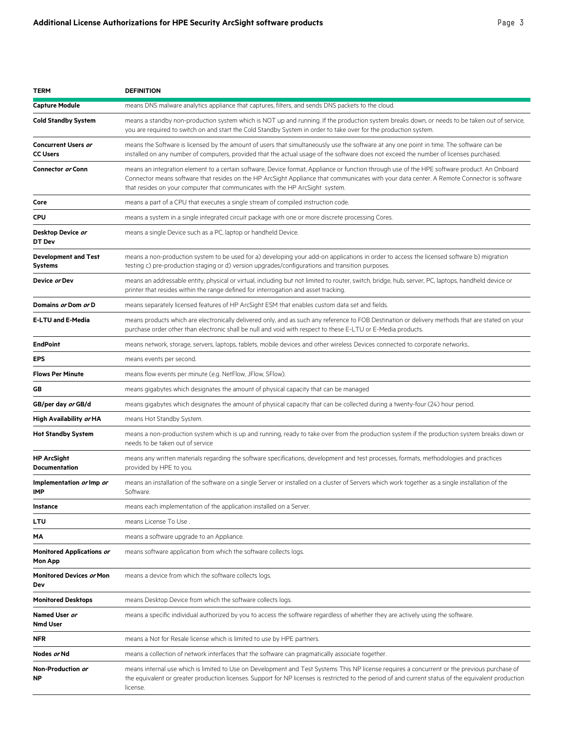| <b>TERM</b>                                   | <b>DEFINITION</b>                                                                                                                                                                                                                                                                                                                                                          |
|-----------------------------------------------|----------------------------------------------------------------------------------------------------------------------------------------------------------------------------------------------------------------------------------------------------------------------------------------------------------------------------------------------------------------------------|
| <b>Capture Module</b>                         | means DNS malware analytics appliance that captures, filters, and sends DNS packets to the cloud.                                                                                                                                                                                                                                                                          |
| <b>Cold Standby System</b>                    | means a standby non-production system which is NOT up and running. If the production system breaks down, or needs to be taken out of service,<br>you are required to switch on and start the Cold Standby System in order to take over for the production system.                                                                                                          |
| <b>Concurrent Users or</b><br><b>CC Users</b> | means the Software is licensed by the amount of users that simultaneously use the software at any one point in time. The software can be<br>installed on any number of computers, provided that the actual usage of the software does not exceed the number of licenses purchased.                                                                                         |
| Connector or Conn                             | means an integration element to a certain software, Device format, Appliance or function through use of the HPE software product. An Onboard<br>Connector means software that resides on the HP ArcSight Appliance that communicates with your data center. A Remote Connector is software<br>that resides on your computer that communicates with the HP ArcSight system. |
| Core                                          | means a part of a CPU that executes a single stream of compiled instruction code.                                                                                                                                                                                                                                                                                          |
| <b>CPU</b>                                    | means a system in a single integrated circuit package with one or more discrete processing Cores.                                                                                                                                                                                                                                                                          |
| Desktop Device or<br>DT Dev                   | means a single Device such as a PC, laptop or handheld Device.                                                                                                                                                                                                                                                                                                             |
| <b>Development and Test</b><br>Systems        | means a non-production system to be used for a) developing your add-on applications in order to access the licensed software b) migration<br>testing c) pre-production staging or d) version upgrades/configurations and transition purposes.                                                                                                                              |
| Device or Dev                                 | means an addressable entity, physical or virtual, including but not limited to router, switch, bridge, hub, server, PC, laptops, handheld device or<br>printer that resides within the range defined for interrogation and asset tracking.                                                                                                                                 |
| Domains or Dom or D                           | means separately licensed features of HP ArcSight ESM that enables custom data set and fields.                                                                                                                                                                                                                                                                             |
| <b>E-LTU and E-Media</b>                      | means products which are electronically delivered only, and as such any reference to FOB Destination or delivery methods that are stated on your<br>purchase order other than electronic shall be null and void with respect to these E-LTU or E-Media products.                                                                                                           |
| <b>EndPoint</b>                               | means network, storage, servers, laptops, tablets, mobile devices and other wireless Devices connected to corporate networks                                                                                                                                                                                                                                               |
| EPS                                           | means events per second.                                                                                                                                                                                                                                                                                                                                                   |
| <b>Flows Per Minute</b>                       | means flow events per minute (e.g. NetFlow, JFlow, SFlow).                                                                                                                                                                                                                                                                                                                 |
| GВ                                            | means gigabytes which designates the amount of physical capacity that can be managed                                                                                                                                                                                                                                                                                       |
| GB/per day <i>or</i> GB/d                     | means gigabytes which designates the amount of physical capacity that can be collected during a twenty-four (24) hour period.                                                                                                                                                                                                                                              |
| High Availability <i>or</i> HA                | means Hot Standby System.                                                                                                                                                                                                                                                                                                                                                  |
| <b>Hot Standby System</b>                     | means a non-production system which is up and running, ready to take over from the production system if the production system breaks down or<br>needs to be taken out of service                                                                                                                                                                                           |
| <b>HP ArcSight</b><br><b>Documentation</b>    | means any written materials regarding the software specifications, development and test processes, formats, methodologies and practices<br>provided by HPE to you.                                                                                                                                                                                                         |
| Implementation or Imp or<br>IMP               | means an installation of the software on a single Server or installed on a cluster of Servers which work together as a single installation of the<br>Software.                                                                                                                                                                                                             |
| Instance                                      | means each implementation of the application installed on a Server.                                                                                                                                                                                                                                                                                                        |
| LTU                                           | means License To Use.                                                                                                                                                                                                                                                                                                                                                      |
| ΜA                                            | means a software upgrade to an Appliance.                                                                                                                                                                                                                                                                                                                                  |
| <b>Monitored Applications or</b><br>Mon App   | means software application from which the software collects logs.                                                                                                                                                                                                                                                                                                          |
| Monitored Devices or Mon<br>Dev               | means a device from which the software collects logs.                                                                                                                                                                                                                                                                                                                      |
| <b>Monitored Desktops</b>                     | means Desktop Device from which the software collects logs.                                                                                                                                                                                                                                                                                                                |
| Named User or<br><b>Nmd User</b>              | means a specific individual authorized by you to access the software regardless of whether they are actively using the software.                                                                                                                                                                                                                                           |
| NFR                                           | means a Not for Resale license which is limited to use by HPE partners.                                                                                                                                                                                                                                                                                                    |
| Nodes or Nd                                   | means a collection of network interfaces that the software can pragmatically associate together.                                                                                                                                                                                                                                                                           |
| Non-Production or<br>ΝP                       | means internal use which is limited to Use on Development and Test Systems This NP license requires a concurrent or the previous purchase of<br>the equivalent or greater production licenses. Support for NP licenses is restricted to the period of and current status of the equivalent production<br>license.                                                          |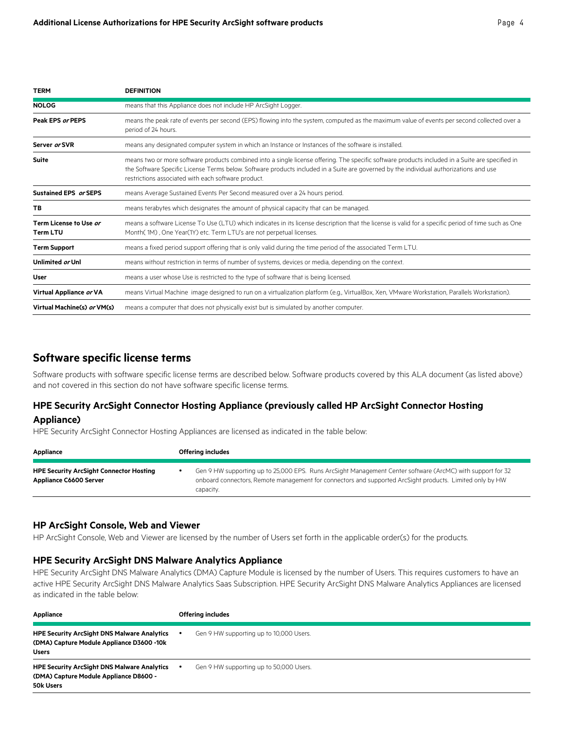| <b>TERM</b>                               | <b>DEFINITION</b>                                                                                                                                                                                                                                                                                                                                 |
|-------------------------------------------|---------------------------------------------------------------------------------------------------------------------------------------------------------------------------------------------------------------------------------------------------------------------------------------------------------------------------------------------------|
| <b>NOLOG</b>                              | means that this Appliance does not include HP ArcSight Logger.                                                                                                                                                                                                                                                                                    |
| Peak EPS or PEPS                          | means the peak rate of events per second (EPS) flowing into the system, computed as the maximum value of events per second collected over a<br>period of 24 hours.                                                                                                                                                                                |
| Server or SVR                             | means any designated computer system in which an Instance or Instances of the software is installed.                                                                                                                                                                                                                                              |
| Suite                                     | means two or more software products combined into a single license offering. The specific software products included in a Suite are specified in<br>the Software Specific License Terms below. Software products included in a Suite are governed by the individual authorizations and use<br>restrictions associated with each software product. |
| Sustained EPS or SEPS                     | means Average Sustained Events Per Second measured over a 24 hours period.                                                                                                                                                                                                                                                                        |
| TB                                        | means terabytes which designates the amount of physical capacity that can be managed.                                                                                                                                                                                                                                                             |
| Term License to Use or<br><b>Term LTU</b> | means a software License To Use (LTU) which indicates in its license description that the license is valid for a specific period of time such as One<br>Month(1M), One Year(1Y) etc. Term LTU's are not perpetual licenses.                                                                                                                       |
| <b>Term Support</b>                       | means a fixed period support offering that is only valid during the time period of the associated Term LTU.                                                                                                                                                                                                                                       |
| Unlimited or Unl                          | means without restriction in terms of number of systems, devices or media, depending on the context.                                                                                                                                                                                                                                              |
| User                                      | means a user whose Use is restricted to the type of software that is being licensed.                                                                                                                                                                                                                                                              |
| Virtual Appliance or VA                   | means Virtual Machine image designed to run on a virtualization platform (e.g., VirtualBox, Xen, VMware Workstation, Parallels Workstation).                                                                                                                                                                                                      |
| Virtual Machine(s) or VM(s)               | means a computer that does not physically exist but is simulated by another computer.                                                                                                                                                                                                                                                             |

# **Software specific license terms**

Software products with software specific license terms are described below. Software products covered by this ALA document (as listed above) and not covered in this section do not have software specific license terms.

# **HPE Security ArcSight Connector Hosting Appliance (previously called HP ArcSight Connector Hosting Appliance)**

HPE Security ArcSight Connector Hosting Appliances are licensed as indicated in the table below:

| Appliance                                                                       | <b>Offering includes</b> |                                                                                                                                                                                                                                     |
|---------------------------------------------------------------------------------|--------------------------|-------------------------------------------------------------------------------------------------------------------------------------------------------------------------------------------------------------------------------------|
|                                                                                 |                          |                                                                                                                                                                                                                                     |
| <b>HPE Security ArcSight Connector Hosting</b><br><b>Appliance C6600 Server</b> |                          | Gen 9 HW supporting up to 25,000 EPS. Runs ArcSight Management Center software (ArcMC) with support for 32<br>onboard connectors, Remote management for connectors and supported ArcSight products. Limited only by HW<br>capacity. |

#### **HP ArcSight Console, Web and Viewer**

HP ArcSight Console, Web and Viewer are licensed by the number of Users set forth in the applicable order(s) for the products.

#### **HPE Security ArcSight DNS Malware Analytics Appliance**

HPE Security ArcSight DNS Malware Analytics (DMA) Capture Module is licensed by the number of Users. This requires customers to have an active HPE Security ArcSight DNS Malware Analytics Saas Subscription. HPE Security ArcSight DNS Malware Analytics Appliances are licensed as indicated in the table below:

| Appliance                                                                                                       | <b>Offering includes</b>                             |
|-----------------------------------------------------------------------------------------------------------------|------------------------------------------------------|
| <b>HPE Security ArcSight DNS Malware Analytics</b><br>(DMA) Capture Module Appliance D3600 -10k<br><b>Users</b> | Gen 9 HW supporting up to 10,000 Users.              |
| <b>HPE Security ArcSight DNS Malware Analytics</b><br>(DMA) Capture Module Appliance D8600 -<br>50k Users       | Gen 9 HW supporting up to 50,000 Users.<br>$\bullet$ |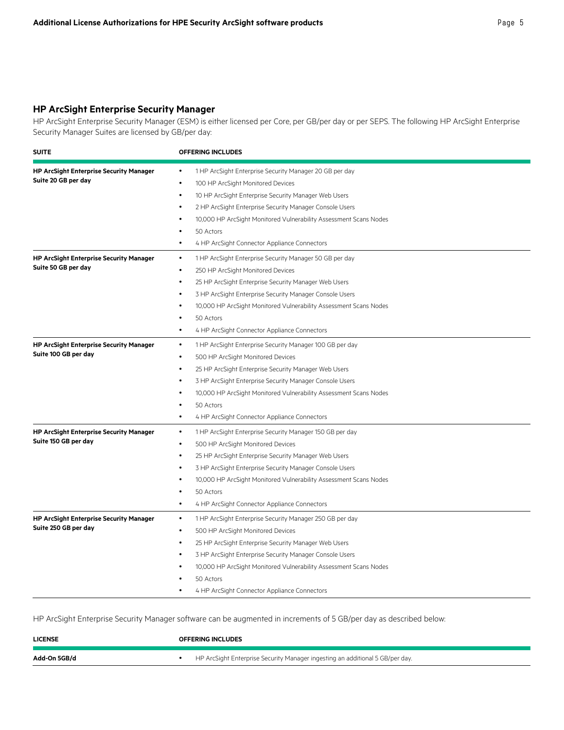### **HP ArcSight Enterprise Security Manager**

HP ArcSight Enterprise Security Manager (ESM) is either licensed per Core, per GB/per day or per SEPS. The following HP ArcSight Enterprise Security Manager Suites are licensed by GB/per day:

| <b>SUITE</b>                                                           | <b>OFFERING INCLUDES</b>                                                                                                                                                                                                                                                                                                                                                                                                              |
|------------------------------------------------------------------------|---------------------------------------------------------------------------------------------------------------------------------------------------------------------------------------------------------------------------------------------------------------------------------------------------------------------------------------------------------------------------------------------------------------------------------------|
| <b>HP ArcSight Enterprise Security Manager</b><br>Suite 20 GB per day  | 1 HP ArcSight Enterprise Security Manager 20 GB per day<br>٠<br>100 HP ArcSight Monitored Devices<br>$\bullet$<br>10 HP ArcSight Enterprise Security Manager Web Users<br>$\bullet$<br>2 HP ArcSight Enterprise Security Manager Console Users<br>$\bullet$<br>10,000 HP ArcSight Monitored Vulnerability Assessment Scans Nodes<br>$\bullet$<br>50 Actors<br>٠<br>4 HP ArcSight Connector Appliance Connectors<br>$\bullet$          |
| <b>HP ArcSight Enterprise Security Manager</b><br>Suite 50 GB per day  | 1 HP ArcSight Enterprise Security Manager 50 GB per day<br>$\bullet$<br>250 HP ArcSight Monitored Devices<br>$\bullet$<br>25 HP ArcSight Enterprise Security Manager Web Users<br>$\bullet$<br>3 HP ArcSight Enterprise Security Manager Console Users<br>$\bullet$<br>10,000 HP ArcSight Monitored Vulnerability Assessment Scans Nodes<br>$\bullet$<br>50 Actors<br>٠<br>4 HP ArcSight Connector Appliance Connectors<br>$\bullet$  |
| <b>HP ArcSight Enterprise Security Manager</b><br>Suite 100 GB per day | 1 HP ArcSight Enterprise Security Manager 100 GB per day<br>$\bullet$<br>500 HP ArcSight Monitored Devices<br>$\bullet$<br>25 HP ArcSight Enterprise Security Manager Web Users<br>٠<br>3 HP ArcSight Enterprise Security Manager Console Users<br>10,000 HP ArcSight Monitored Vulnerability Assessment Scans Nodes<br>50 Actors<br>4 HP ArcSight Connector Appliance Connectors<br>$\bullet$                                        |
| <b>HP ArcSight Enterprise Security Manager</b><br>Suite 150 GB per day | 1 HP ArcSight Enterprise Security Manager 150 GB per day<br>$\bullet$<br>500 HP ArcSight Monitored Devices<br>$\bullet$<br>25 HP ArcSight Enterprise Security Manager Web Users<br>$\bullet$<br>3 HP ArcSight Enterprise Security Manager Console Users<br>$\bullet$<br>10,000 HP ArcSight Monitored Vulnerability Assessment Scans Nodes<br>$\bullet$<br>50 Actors<br>٠<br>4 HP ArcSight Connector Appliance Connectors<br>$\bullet$ |
| <b>HP ArcSight Enterprise Security Manager</b><br>Suite 250 GB per day | 1 HP ArcSight Enterprise Security Manager 250 GB per day<br>$\bullet$<br>$\bullet$<br>500 HP ArcSight Monitored Devices<br>25 HP ArcSight Enterprise Security Manager Web Users<br>3 HP ArcSight Enterprise Security Manager Console Users<br>10,000 HP ArcSight Monitored Vulnerability Assessment Scans Nodes<br>50 Actors<br>4 HP ArcSight Connector Appliance Connectors                                                          |

HP ArcSight Enterprise Security Manager software can be augmented in increments of 5 GB/per day as described below:

| <b>LICENSE</b> | <b>OFFERING INCLUDES</b>                                                      |
|----------------|-------------------------------------------------------------------------------|
| Add-On 5GB/d   | HP ArcSight Enterprise Security Manager ingesting an additional 5 GB/per day. |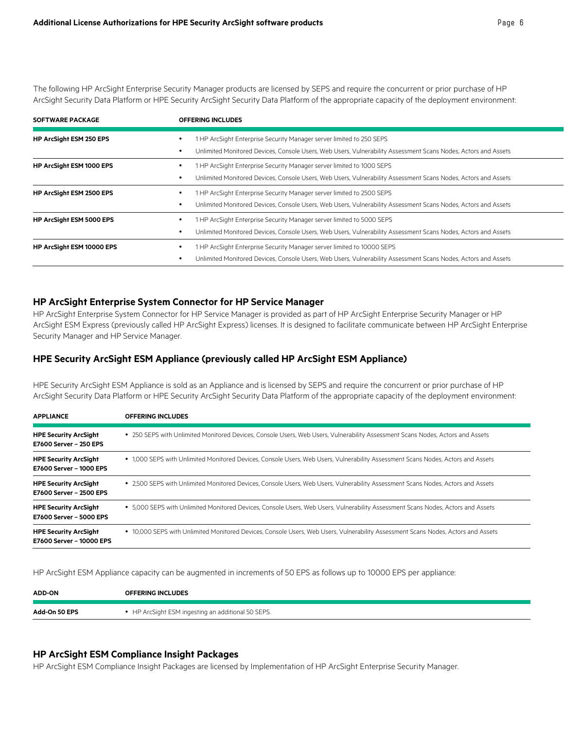The following HP ArcSight Enterprise Security Manager products are licensed by SEPS and require the concurrent or prior purchase of HP ArcSight Security Data Platform or HPE Security ArcSight Security Data Platform of the appropriate capacity of the deployment environment:

| <b>SOFTWARE PACKAGE</b>   | <b>OFFERING INCLUDES</b>                                                                                                                                                                |
|---------------------------|-----------------------------------------------------------------------------------------------------------------------------------------------------------------------------------------|
| HP ArcSight ESM 250 EPS   | 1 HP ArcSight Enterprise Security Manager server limited to 250 SEPS<br>Unlimited Monitored Devices, Console Users, Web Users, Vulnerability Assessment Scans Nodes, Actors and Assets  |
| HP ArcSight ESM 1000 EPS  | HP ArcSight Enterprise Security Manager server limited to 1000 SEPS<br>Unlimited Monitored Devices, Console Users, Web Users, Vulnerability Assessment Scans Nodes, Actors and Assets   |
| HP ArcSight ESM 2500 EPS  | 1 HP ArcSight Enterprise Security Manager server limited to 2500 SEPS<br>Unlimited Monitored Devices, Console Users, Web Users, Vulnerability Assessment Scans Nodes, Actors and Assets |
| HP ArcSight ESM 5000 EPS  | HP ArcSight Enterprise Security Manager server limited to 5000 SEPS<br>Unlimited Monitored Devices, Console Users, Web Users, Vulnerability Assessment Scans Nodes, Actors and Assets   |
| HP ArcSight ESM 10000 EPS | HP ArcSight Enterprise Security Manager server limited to 10000 SEPS<br>Unlimited Monitored Devices, Console Users, Web Users, Vulnerability Assessment Scans Nodes, Actors and Assets  |

#### **HP ArcSight Enterprise System Connector for HP Service Manager**

HP ArcSight Enterprise System Connector for HP Service Manager is provided as part of HP ArcSight Enterprise Security Manager or HP ArcSight ESM Express (previously called HP ArcSight Express) licenses. It is designed to facilitate communicate between HP ArcSight Enterprise Security Manager and HP Service Manager.

#### **HPE Security ArcSight ESM Appliance (previously called HP ArcSight ESM Appliance)**

HPE Security ArcSight ESM Appliance is sold as an Appliance and is licensed by SEPS and require the concurrent or prior purchase of HP ArcSight Security Data Platform or HPE Security ArcSight Security Data Platform of the appropriate capacity of the deployment environment:

| <b>APPLIANCE</b>                                         | <b>OFFERING INCLUDES</b>                                                                                                          |
|----------------------------------------------------------|-----------------------------------------------------------------------------------------------------------------------------------|
| <b>HPE Security ArcSight</b><br>E7600 Server - 250 EPS   | • 250 SEPS with Unlimited Monitored Devices, Console Users, Web Users, Vulnerability Assessment Scans Nodes, Actors and Assets    |
| <b>HPE Security ArcSight</b><br>E7600 Server - 1000 EPS  | • 1,000 SEPS with Unlimited Monitored Devices, Console Users, Web Users, Vulnerability Assessment Scans Nodes, Actors and Assets  |
| <b>HPE Security ArcSight</b><br>E7600 Server - 2500 EPS  | • 2,500 SEPS with Unlimited Monitored Devices, Console Users, Web Users, Vulnerability Assessment Scans Nodes, Actors and Assets  |
| <b>HPE Security ArcSight</b><br>E7600 Server - 5000 EPS  | • 5,000 SEPS with Unlimited Monitored Devices, Console Users, Web Users, Vulnerability Assessment Scans Nodes, Actors and Assets  |
| <b>HPE Security ArcSight</b><br>E7600 Server - 10000 EPS | • 10,000 SEPS with Unlimited Monitored Devices, Console Users, Web Users, Vulnerability Assessment Scans Nodes, Actors and Assets |

HP ArcSight ESM Appliance capacity can be augmented in increments of 50 EPS as follows up to 10000 EPS per appliance:

| <b>ADD-ON</b> | <b>OFFERING INCLUDES</b>                           |
|---------------|----------------------------------------------------|
| Add-On 50 EPS | • HP ArcSight ESM ingesting an additional 50 SEPS. |

#### **HP ArcSight ESM Compliance Insight Packages**

HP ArcSight ESM Compliance Insight Packages are licensed by Implementation of HP ArcSight Enterprise Security Manager.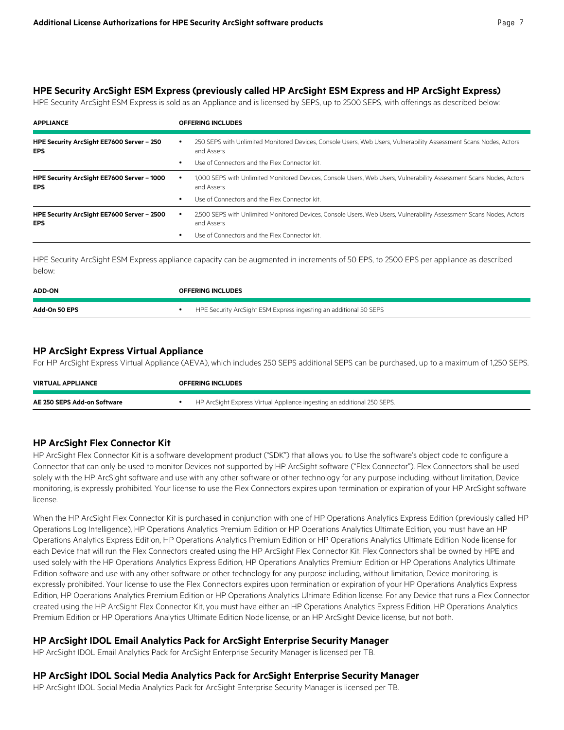#### **HPE Security ArcSight ESM Express (previously called HP ArcSight ESM Express and HP ArcSight Express)**

HPE Security ArcSight ESM Express is sold as an Appliance and is licensed by SEPS, up to 2500 SEPS, with offerings as described below:

| <b>APPLIANCE</b>                                         | <b>OFFERING INCLUDES</b>                                                                                                                     |
|----------------------------------------------------------|----------------------------------------------------------------------------------------------------------------------------------------------|
| HPE Security ArcSight EE7600 Server - 250<br>EPS.        | 250 SEPS with Unlimited Monitored Devices, Console Users, Web Users, Vulnerability Assessment Scans Nodes, Actors<br>$\bullet$<br>and Assets |
|                                                          | Use of Connectors and the Flex Connector kit.<br>٠                                                                                           |
| HPE Security ArcSight EE7600 Server - 1000<br>EPS.       | 1,000 SEPS with Unlimited Monitored Devices, Console Users, Web Users, Vulnerability Assessment Scans Nodes, Actors<br>٠<br>and Assets       |
|                                                          | Use of Connectors and the Flex Connector kit.<br>٠                                                                                           |
| HPE Security ArcSight EE7600 Server - 2500<br><b>EPS</b> | 2,500 SEPS with Unlimited Monitored Devices, Console Users, Web Users, Vulnerability Assessment Scans Nodes, Actors<br>and Assets            |
|                                                          | Use of Connectors and the Flex Connector kit.                                                                                                |

HPE Security ArcSight ESM Express appliance capacity can be augmented in increments of 50 EPS, to 2500 EPS per appliance as described below:

| <b>ADD-ON</b> | <b>OFFERING INCLUDES</b>                                          |
|---------------|-------------------------------------------------------------------|
| Add-On 50 EPS | HPE Security ArcSight ESM Express ingesting an additional 50 SEPS |

#### **HP ArcSight Express Virtual Appliance**

For HP ArcSight Express Virtual Appliance (AEVA), which includes 250 SEPS additional SEPS can be purchased, up to a maximum of 1,250 SEPS.

| <b>VIRTUAL APPLIANCE</b>    | <b>OFFERING INCLUDES</b>                                                |
|-----------------------------|-------------------------------------------------------------------------|
| AE 250 SEPS Add-on Software | HP ArcSight Express Virtual Appliance ingesting an additional 250 SEPS. |

# **HP ArcSight Flex Connector Kit**

HP ArcSight Flex Connector Kit is a software development product ("SDK") that allows you to Use the software's object code to configure a Connector that can only be used to monitor Devices not supported by HP ArcSight software ("Flex Connector"). Flex Connectors shall be used solely with the HP ArcSight software and use with any other software or other technology for any purpose including, without limitation, Device monitoring, is expressly prohibited. Your license to use the Flex Connectors expires upon termination or expiration of your HP ArcSight software license.

When the HP ArcSight Flex Connector Kit is purchased in conjunction with one of HP Operations Analytics Express Edition (previously called HP Operations Log Intelligence), HP Operations Analytics Premium Edition or HP Operations Analytics Ultimate Edition, you must have an HP Operations Analytics Express Edition, HP Operations Analytics Premium Edition or HP Operations Analytics Ultimate Edition Node license for each Device that will run the Flex Connectors created using the HP ArcSight Flex Connector Kit. Flex Connectors shall be owned by HPE and used solely with the HP Operations Analytics Express Edition, HP Operations Analytics Premium Edition or HP Operations Analytics Ultimate Edition software and use with any other software or other technology for any purpose including, without limitation, Device monitoring, is expressly prohibited. Your license to use the Flex Connectors expires upon termination or expiration of your HP Operations Analytics Express Edition, HP Operations Analytics Premium Edition or HP Operations Analytics Ultimate Edition license. For any Device that runs a Flex Connector created using the HP ArcSight Flex Connector Kit, you must have either an HP Operations Analytics Express Edition, HP Operations Analytics Premium Edition or HP Operations Analytics Ultimate Edition Node license, or an HP ArcSight Device license, but not both.

#### **HP ArcSight IDOL Email Analytics Pack for ArcSight Enterprise Security Manager**

HP ArcSight IDOL Email Analytics Pack for ArcSight Enterprise Security Manager is licensed per TB.

#### **HP ArcSight IDOL Social Media Analytics Pack for ArcSight Enterprise Security Manager**

HP ArcSight IDOL Social Media Analytics Pack for ArcSight Enterprise Security Manager is licensed per TB.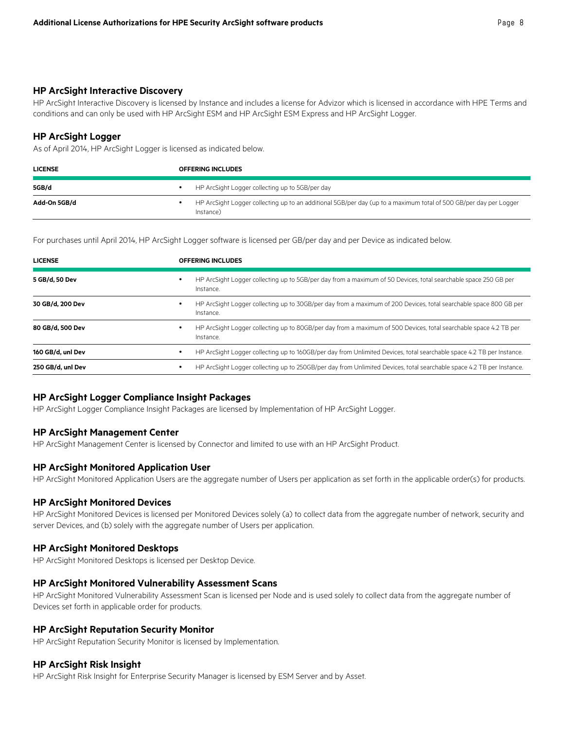#### **HP ArcSight Interactive Discovery**

HP ArcSight Interactive Discovery is licensed by Instance and includes a license for Advizor which is licensed in accordance with HPE Terms and conditions and can only be used with HP ArcSight ESM and HP ArcSight ESM Express and HP ArcSight Logger.

#### **HP ArcSight Logger**

As of April 2014, HP ArcSight Logger is licensed as indicated below.

| <b>LICENSE</b> | <b>OFFERING INCLUDES</b>                                                                                                       |  |
|----------------|--------------------------------------------------------------------------------------------------------------------------------|--|
| 5GB/d          | HP ArcSight Logger collecting up to 5GB/per day                                                                                |  |
| Add-On 5GB/d   | HP ArcSight Logger collecting up to an additional 5GB/per day (up to a maximum total of 500 GB/per day per Logger<br>Instance) |  |

For purchases until April 2014, HP ArcSight Logger software is licensed per GB/per day and per Device as indicated below.

| <b>LICENSE</b>    |   | <b>OFFERING INCLUDES</b>                                                                                                       |  |  |
|-------------------|---|--------------------------------------------------------------------------------------------------------------------------------|--|--|
| 5 GB/d, 50 Dev    |   | HP ArcSight Logger collecting up to 5GB/per day from a maximum of 50 Devices, total searchable space 250 GB per<br>Instance.   |  |  |
| 30 GB/d. 200 Dev  |   | HP ArcSight Logger collecting up to 30GB/per day from a maximum of 200 Devices, total searchable space 800 GB per<br>Instance. |  |  |
| 80 GB/d, 500 Dev  |   | HP ArcSight Logger collecting up to 80GB/per day from a maximum of 500 Devices, total searchable space 4.2 TB per<br>Instance. |  |  |
| 160 GB/d, unl Dev |   | HP ArcSight Logger collecting up to 160GB/per day from Unlimited Devices, total searchable space 4.2 TB per Instance.          |  |  |
| 250 GB/d, unl Dev | ٠ | HP ArcSight Logger collecting up to 250GB/per day from Unlimited Devices, total searchable space 4.2 TB per Instance.          |  |  |

#### **HP ArcSight Logger Compliance Insight Packages**

HP ArcSight Logger Compliance Insight Packages are licensed by Implementation of HP ArcSight Logger.

#### **HP ArcSight Management Center**

HP ArcSight Management Center is licensed by Connector and limited to use with an HP ArcSight Product.

#### **HP ArcSight Monitored Application User**

HP ArcSight Monitored Application Users are the aggregate number of Users per application as set forth in the applicable order(s) for products.

#### **HP ArcSight Monitored Devices**

HP ArcSight Monitored Devices is licensed per Monitored Devices solely (a) to collect data from the aggregate number of network, security and server Devices, and (b) solely with the aggregate number of Users per application.

#### **HP ArcSight Monitored Desktops**

HP ArcSight Monitored Desktops is licensed per Desktop Device.

#### **HP ArcSight Monitored Vulnerability Assessment Scans**

HP ArcSight Monitored Vulnerability Assessment Scan is licensed per Node and is used solely to collect data from the aggregate number of Devices set forth in applicable order for products.

#### **HP ArcSight Reputation Security Monitor**

HP ArcSight Reputation Security Monitor is licensed by Implementation.

#### **HP ArcSight Risk Insight**

HP ArcSight Risk Insight for Enterprise Security Manager is licensed by ESM Server and by Asset.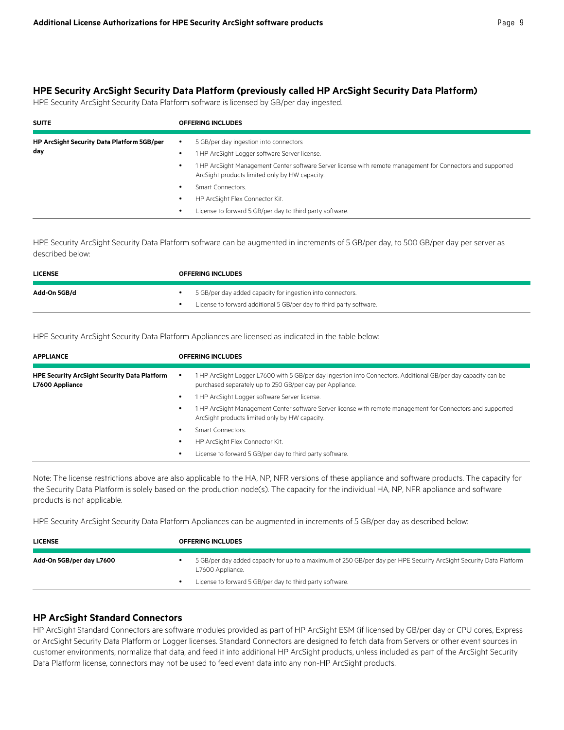#### **HPE Security ArcSight Security Data Platform (previously called HP ArcSight Security Data Platform)**

HPE Security ArcSight Security Data Platform software is licensed by GB/per day ingested.

| <b>SUITE</b>                                             |                | <b>OFFERING INCLUDES</b>                                                                                                                                      |
|----------------------------------------------------------|----------------|---------------------------------------------------------------------------------------------------------------------------------------------------------------|
| <b>HP ArcSight Security Data Platform 5GB/per</b><br>day | $\bullet$<br>٠ | 5 GB/per day ingestion into connectors<br>1 HP ArcSight Logger software Server license.                                                                       |
|                                                          | ٠              | 1 HP ArcSight Management Center software Server license with remote management for Connectors and supported<br>ArcSight products limited only by HW capacity. |
|                                                          | ٠              | Smart Connectors.                                                                                                                                             |
|                                                          | ٠              | HP ArcSight Flex Connector Kit.                                                                                                                               |
|                                                          | ٠              | License to forward 5 GB/per day to third party software.                                                                                                      |

HPE Security ArcSight Security Data Platform software can be augmented in increments of 5 GB/per day, to 500 GB/per day per server as described below:

| <b>LICENSE</b> | <b>OFFERING INCLUDES</b>                                                                                                          |
|----------------|-----------------------------------------------------------------------------------------------------------------------------------|
| Add-On 5GB/d   | 5 GB/per day added capacity for ingestion into connectors.<br>License to forward additional 5 GB/per day to third party software. |

HPE Security ArcSight Security Data Platform Appliances are licensed as indicated in the table below:

| <b>APPLIANCE</b>                                                       |  | <b>OFFERING INCLUDES</b>                                                                                                                                                  |  |  |
|------------------------------------------------------------------------|--|---------------------------------------------------------------------------------------------------------------------------------------------------------------------------|--|--|
| <b>HPE Security ArcSight Security Data Platform</b><br>L7600 Appliance |  | 1 HP ArcSight Logger L7600 with 5 GB/per day ingestion into Connectors. Additional GB/per day capacity can be<br>purchased separately up to 250 GB/per day per Appliance. |  |  |
|                                                                        |  | 1 HP ArcSight Logger software Server license.                                                                                                                             |  |  |
|                                                                        |  | 1 HP ArcSight Management Center software Server license with remote management for Connectors and supported<br>ArcSight products limited only by HW capacity.             |  |  |
|                                                                        |  | Smart Connectors.                                                                                                                                                         |  |  |
|                                                                        |  | HP ArcSight Flex Connector Kit.                                                                                                                                           |  |  |
|                                                                        |  | License to forward 5 GB/per day to third party software.                                                                                                                  |  |  |

Note: The license restrictions above are also applicable to the HA, NP, NFR versions of these appliance and software products. The capacity for the Security Data Platform is solely based on the production node(s). The capacity for the individual HA, NP, NFR appliance and software products is not applicable.

HPE Security ArcSight Security Data Platform Appliances can be augmented in increments of 5 GB/per day as described below:

| <b>LICENSE</b>           |  | <b>OFFERING INCLUDES</b>                                                                                                               |  |  |
|--------------------------|--|----------------------------------------------------------------------------------------------------------------------------------------|--|--|
| Add-On 5GB/per day L7600 |  | 5 GB/per day added capacity for up to a maximum of 250 GB/per day per HPE Security ArcSight Security Data Platform<br>L7600 Appliance. |  |  |
|                          |  | License to forward 5 GB/per day to third party software.                                                                               |  |  |

# **HP ArcSight Standard Connectors**

HP ArcSight Standard Connectors are software modules provided as part of HP ArcSight ESM (if licensed by GB/per day or CPU cores, Express or ArcSight Security Data Platform or Logger licenses. Standard Connectors are designed to fetch data from Servers or other event sources in customer environments, normalize that data, and feed it into additional HP ArcSight products, unless included as part of the ArcSight Security Data Platform license, connectors may not be used to feed event data into any non-HP ArcSight products.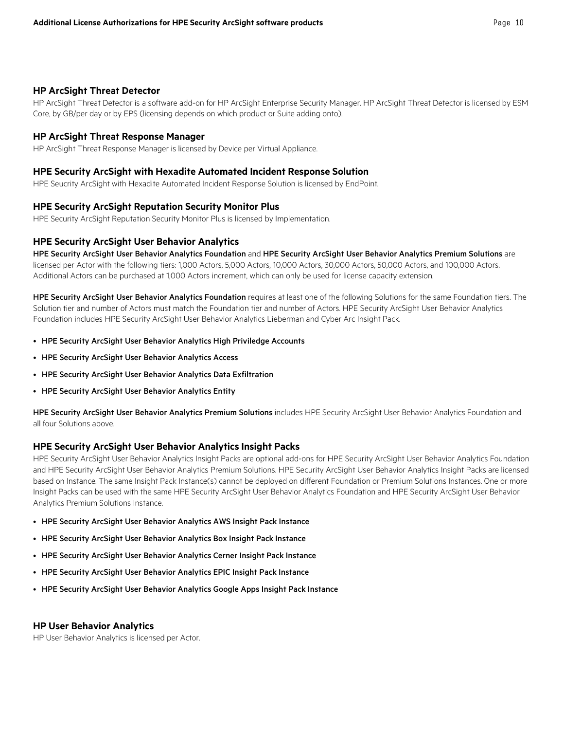#### **HP ArcSight Threat Detector**

HP ArcSight Threat Detector is a software add-on for HP ArcSight Enterprise Security Manager. HP ArcSight Threat Detector is licensed by ESM Core, by GB/per day or by EPS (licensing depends on which product or Suite adding onto).

#### **HP ArcSight Threat Response Manager**

HP ArcSight Threat Response Manager is licensed by Device per Virtual Appliance.

#### **HPE Security ArcSight with Hexadite Automated Incident Response Solution**

HPE Seucrity ArcSight with Hexadite Automated Incident Response Solution is licensed by EndPoint.

#### **HPE Security ArcSight Reputation Security Monitor Plus**

HPE Security ArcSight Reputation Security Monitor Plus is licensed by Implementation.

#### **HPE Security ArcSight User Behavior Analytics**

HPE Security ArcSight User Behavior Analytics Foundation and HPE Security ArcSight User Behavior Analytics Premium Solutions are licensed per Actor with the following tiers: 1,000 Actors, 5,000 Actors, 10,000 Actors, 30,000 Actors, 50,000 Actors, and 100,000 Actors. Additional Actors can be purchased at 1,000 Actors increment, which can only be used for license capacity extension.

HPE Security ArcSight User Behavior Analytics Foundation requires at least one of the following Solutions for the same Foundation tiers. The Solution tier and number of Actors must match the Foundation tier and number of Actors. HPE Security ArcSight User Behavior Analytics Foundation includes HPE Security ArcSight User Behavior Analytics Lieberman and Cyber Arc Insight Pack.

- HPE Security ArcSight User Behavior Analytics High Priviledge Accounts
- HPE Security ArcSight User Behavior Analytics Access
- HPE Security ArcSight User Behavior Analytics Data Exfiltration
- HPE Security ArcSight User Behavior Analytics Entity

HPE Security ArcSight User Behavior Analytics Premium Solutions includes HPE Security ArcSight User Behavior Analytics Foundation and all four Solutions above.

#### **HPE Security ArcSight User Behavior Analytics Insight Packs**

HPE Security ArcSight User Behavior Analytics Insight Packs are optional add-ons for HPE Security ArcSight User Behavior Analytics Foundation and HPE Security ArcSight User Behavior Analytics Premium Solutions. HPE Security ArcSight User Behavior Analytics Insight Packs are licensed based on Instance. The same Insight Pack Instance(s) cannot be deployed on different Foundation or Premium Solutions Instances. One or more Insight Packs can be used with the same HPE Security ArcSight User Behavior Analytics Foundation and HPE Security ArcSight User Behavior Analytics Premium Solutions Instance.

- HPE Security ArcSight User Behavior Analytics AWS Insight Pack Instance
- HPE Security ArcSight User Behavior Analytics Box Insight Pack Instance
- HPE Security ArcSight User Behavior Analytics Cerner Insight Pack Instance
- HPE Security ArcSight User Behavior Analytics EPIC Insight Pack Instance
- HPE Security ArcSight User Behavior Analytics Google Apps Insight Pack Instance

#### **HP User Behavior Analytics**

HP User Behavior Analytics is licensed per Actor.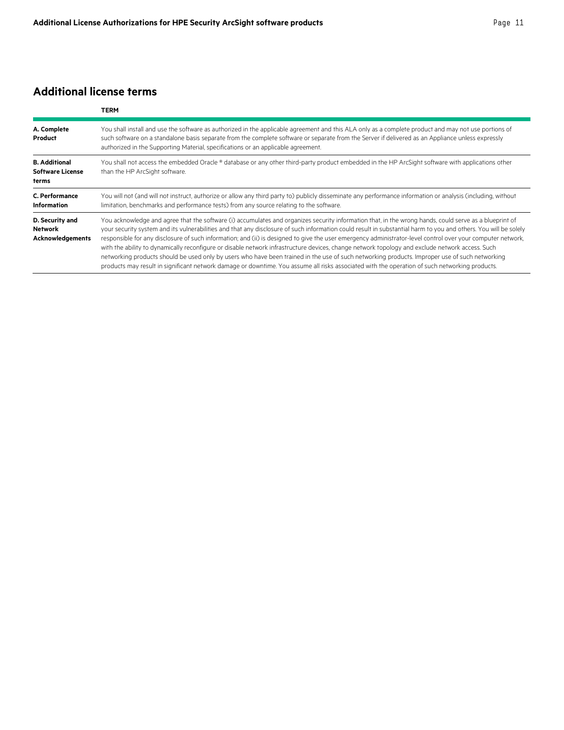# **Additional license terms**

|                                                              | <b>TERM</b>                                                                                                                                                                                                                                                                                                                                                                                                                                                                                                                                                                                                                                                                                                                                                                                                                                                                                                                                     |
|--------------------------------------------------------------|-------------------------------------------------------------------------------------------------------------------------------------------------------------------------------------------------------------------------------------------------------------------------------------------------------------------------------------------------------------------------------------------------------------------------------------------------------------------------------------------------------------------------------------------------------------------------------------------------------------------------------------------------------------------------------------------------------------------------------------------------------------------------------------------------------------------------------------------------------------------------------------------------------------------------------------------------|
| A. Complete<br>Product                                       | You shall install and use the software as authorized in the applicable agreement and this ALA only as a complete product and may not use portions of<br>such software on a standalone basis separate from the complete software or separate from the Server if delivered as an Appliance unless expressly<br>authorized in the Supporting Material, specifications or an applicable agreement.                                                                                                                                                                                                                                                                                                                                                                                                                                                                                                                                                  |
| <b>B.</b> Additional<br><b>Software License</b><br>terms     | You shall not access the embedded Oracle ® database or any other third-party product embedded in the HP ArcSight software with applications other<br>than the HP ArcSight software.                                                                                                                                                                                                                                                                                                                                                                                                                                                                                                                                                                                                                                                                                                                                                             |
| C. Performance<br><b>Information</b>                         | You will not (and will not instruct, authorize or allow any third party to) publicly disseminate any performance information or analysis (including, without<br>limitation, benchmarks and performance tests) from any source relating to the software.                                                                                                                                                                                                                                                                                                                                                                                                                                                                                                                                                                                                                                                                                         |
| D. Security and<br><b>Network</b><br><b>Acknowledgements</b> | You acknowledge and agree that the software (i) accumulates and organizes security information that, in the wrong hands, could serve as a blueprint of<br>your security system and its vulnerabilities and that any disclosure of such information could result in substantial harm to you and others. You will be solely<br>responsible for any disclosure of such information; and (ii) is designed to give the user emergency administrator-level control over your computer network,<br>with the ability to dynamically reconfigure or disable network infrastructure devices, change network topology and exclude network access. Such<br>networking products should be used only by users who have been trained in the use of such networking products. Improper use of such networking<br>products may result in significant network damage or downtime. You assume all risks associated with the operation of such networking products. |